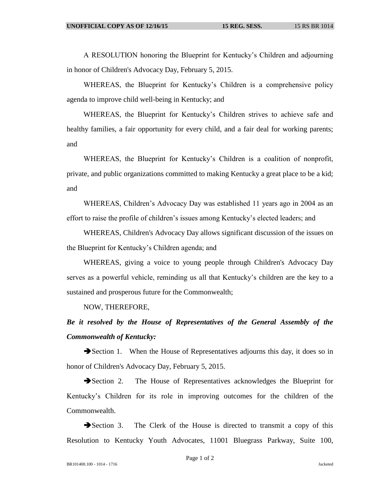A RESOLUTION honoring the Blueprint for Kentucky's Children and adjourning in honor of Children's Advocacy Day, February 5, 2015.

WHEREAS, the Blueprint for Kentucky's Children is a comprehensive policy agenda to improve child well-being in Kentucky; and

WHEREAS, the Blueprint for Kentucky's Children strives to achieve safe and healthy families, a fair opportunity for every child, and a fair deal for working parents; and

WHEREAS, the Blueprint for Kentucky's Children is a coalition of nonprofit, private, and public organizations committed to making Kentucky a great place to be a kid; and

WHEREAS, Children's Advocacy Day was established 11 years ago in 2004 as an effort to raise the profile of children's issues among Kentucky's elected leaders; and

WHEREAS, Children's Advocacy Day allows significant discussion of the issues on the Blueprint for Kentucky's Children agenda; and

WHEREAS, giving a voice to young people through Children's Advocacy Day serves as a powerful vehicle, reminding us all that Kentucky's children are the key to a sustained and prosperous future for the Commonwealth;

NOW, THEREFORE,

*Be it resolved by the House of Representatives of the General Assembly of the Commonwealth of Kentucky:*

Section 1. When the House of Representatives adjourns this day, it does so in honor of Children's Advocacy Day, February 5, 2015.

Section 2. The House of Representatives acknowledges the Blueprint for Kentucky's Children for its role in improving outcomes for the children of the Commonwealth.

Section 3. The Clerk of the House is directed to transmit a copy of this Resolution to Kentucky Youth Advocates, 11001 Bluegrass Parkway, Suite 100,